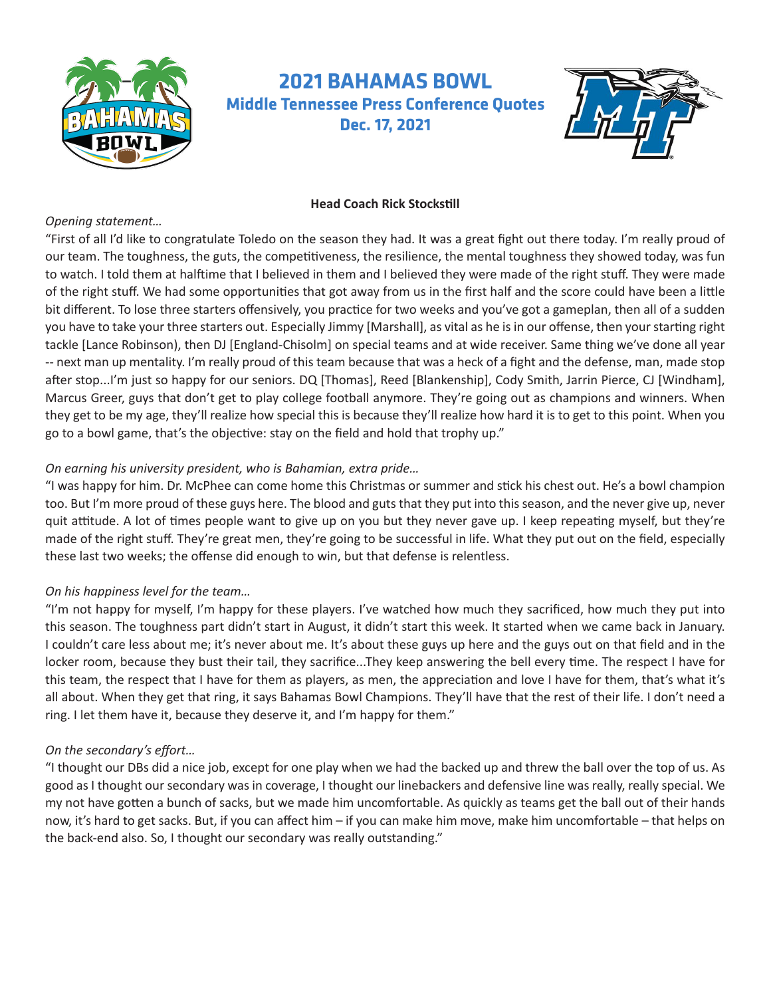

# **2021 BAHAMAS BOWL Middle Tennessee Press Conference Quotes Dec. 17, 2021**



## **Head Coach Rick Stockstill**

#### *Opening statement…*

"First of all I'd like to congratulate Toledo on the season they had. It was a great fight out there today. I'm really proud of our team. The toughness, the guts, the competitiveness, the resilience, the mental toughness they showed today, was fun to watch. I told them at halftime that I believed in them and I believed they were made of the right stuff. They were made of the right stuff. We had some opportunities that got away from us in the first half and the score could have been a little bit different. To lose three starters offensively, you practice for two weeks and you've got a gameplan, then all of a sudden you have to take your three starters out. Especially Jimmy [Marshall], as vital as he is in our offense, then your starting right tackle [Lance Robinson), then DJ [England-Chisolm] on special teams and at wide receiver. Same thing we've done all year -- next man up mentality. I'm really proud of this team because that was a heck of a fight and the defense, man, made stop after stop...I'm just so happy for our seniors. DQ [Thomas], Reed [Blankenship], Cody Smith, Jarrin Pierce, CJ [Windham], Marcus Greer, guys that don't get to play college football anymore. They're going out as champions and winners. When they get to be my age, they'll realize how special this is because they'll realize how hard it is to get to this point. When you go to a bowl game, that's the objective: stay on the field and hold that trophy up."

## *On earning his university president, who is Bahamian, extra pride…*

"I was happy for him. Dr. McPhee can come home this Christmas or summer and stick his chest out. He's a bowl champion too. But I'm more proud of these guys here. The blood and guts that they put into this season, and the never give up, never quit attitude. A lot of times people want to give up on you but they never gave up. I keep repeating myself, but they're made of the right stuff. They're great men, they're going to be successful in life. What they put out on the field, especially these last two weeks; the offense did enough to win, but that defense is relentless.

## *On his happiness level for the team…*

"I'm not happy for myself, I'm happy for these players. I've watched how much they sacrificed, how much they put into this season. The toughness part didn't start in August, it didn't start this week. It started when we came back in January. I couldn't care less about me; it's never about me. It's about these guys up here and the guys out on that field and in the locker room, because they bust their tail, they sacrifice...They keep answering the bell every time. The respect I have for this team, the respect that I have for them as players, as men, the appreciation and love I have for them, that's what it's all about. When they get that ring, it says Bahamas Bowl Champions. They'll have that the rest of their life. I don't need a ring. I let them have it, because they deserve it, and I'm happy for them."

## *On the secondary's effort…*

"I thought our DBs did a nice job, except for one play when we had the backed up and threw the ball over the top of us. As good as I thought our secondary was in coverage, I thought our linebackers and defensive line was really, really special. We my not have gotten a bunch of sacks, but we made him uncomfortable. As quickly as teams get the ball out of their hands now, it's hard to get sacks. But, if you can affect him – if you can make him move, make him uncomfortable – that helps on the back-end also. So, I thought our secondary was really outstanding."